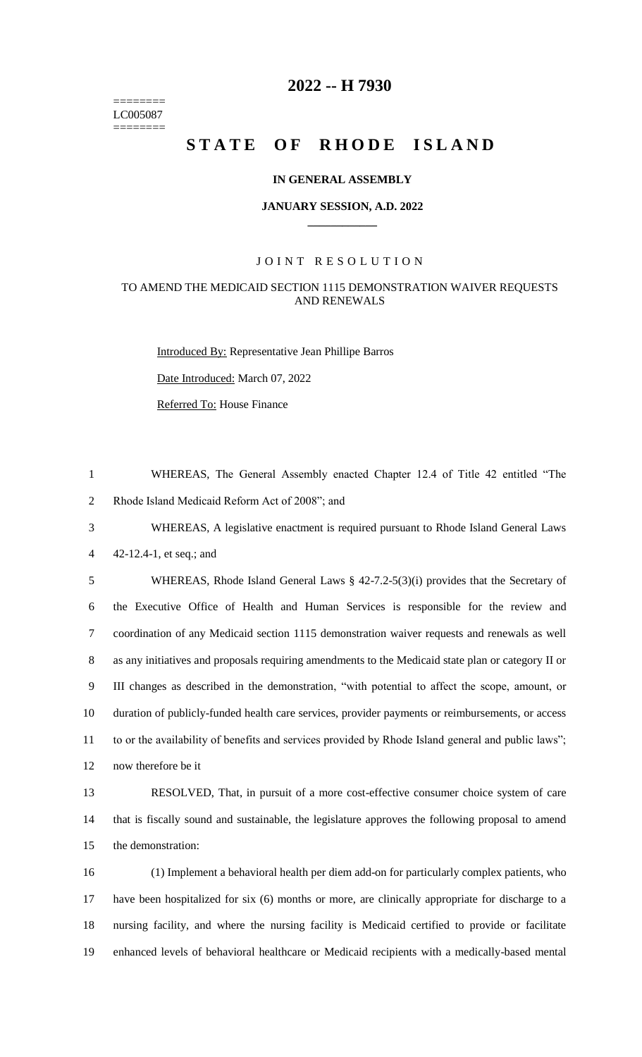======== LC005087 ========

# **-- H 7930**

# STATE OF RHODE ISLAND

#### **IN GENERAL ASSEMBLY**

#### **JANUARY SESSION, A.D. 2022 \_\_\_\_\_\_\_\_\_\_\_\_**

#### JOINT RESOLUTION

#### TO AMEND THE MEDICAID SECTION 1115 DEMONSTRATION WAIVER REQUESTS AND RENEWALS

Introduced By: Representative Jean Phillipe Barros

Date Introduced: March 07, 2022

Referred To: House Finance

 WHEREAS, The General Assembly enacted Chapter 12.4 of Title 42 entitled "The Rhode Island Medicaid Reform Act of 2008"; and

 WHEREAS, A legislative enactment is required pursuant to Rhode Island General Laws 42-12.4-1, et seq.; and

 WHEREAS, Rhode Island General Laws § 42-7.2-5(3)(i) provides that the Secretary of the Executive Office of Health and Human Services is responsible for the review and coordination of any Medicaid section 1115 demonstration waiver requests and renewals as well as any initiatives and proposals requiring amendments to the Medicaid state plan or category II or III changes as described in the demonstration, "with potential to affect the scope, amount, or duration of publicly-funded health care services, provider payments or reimbursements, or access to or the availability of benefits and services provided by Rhode Island general and public laws"; now therefore be it

 RESOLVED, That, in pursuit of a more cost-effective consumer choice system of care that is fiscally sound and sustainable, the legislature approves the following proposal to amend the demonstration:

 (1) Implement a behavioral health per diem add-on for particularly complex patients, who have been hospitalized for six (6) months or more, are clinically appropriate for discharge to a nursing facility, and where the nursing facility is Medicaid certified to provide or facilitate enhanced levels of behavioral healthcare or Medicaid recipients with a medically-based mental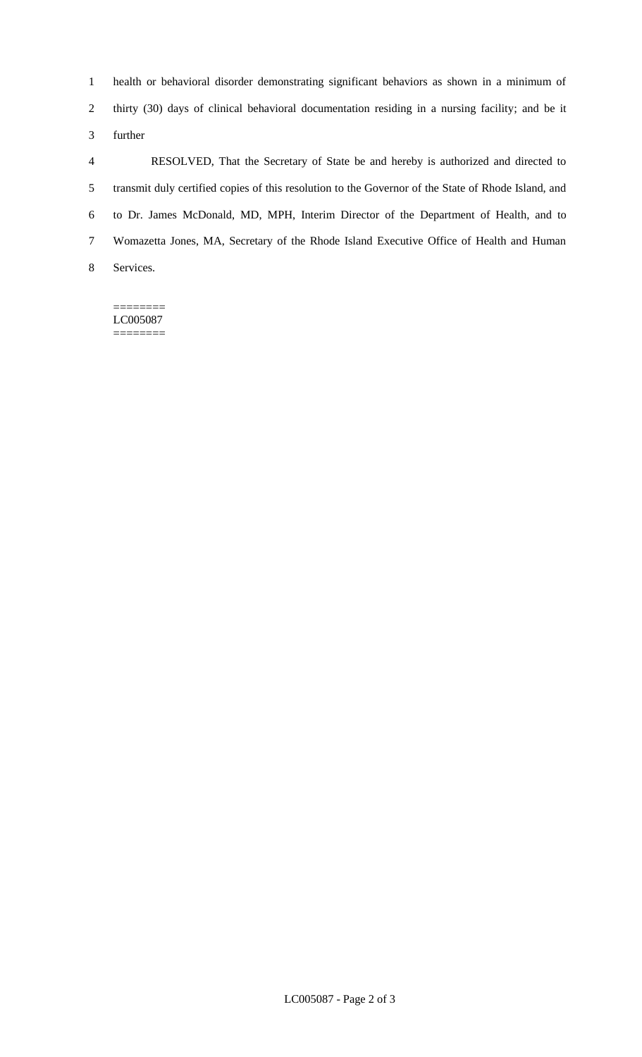health or behavioral disorder demonstrating significant behaviors as shown in a minimum of thirty (30) days of clinical behavioral documentation residing in a nursing facility; and be it further

 RESOLVED, That the Secretary of State be and hereby is authorized and directed to transmit duly certified copies of this resolution to the Governor of the State of Rhode Island, and to Dr. James McDonald, MD, MPH, Interim Director of the Department of Health, and to Womazetta Jones, MA, Secretary of the Rhode Island Executive Office of Health and Human Services.

======== LC005087 ========